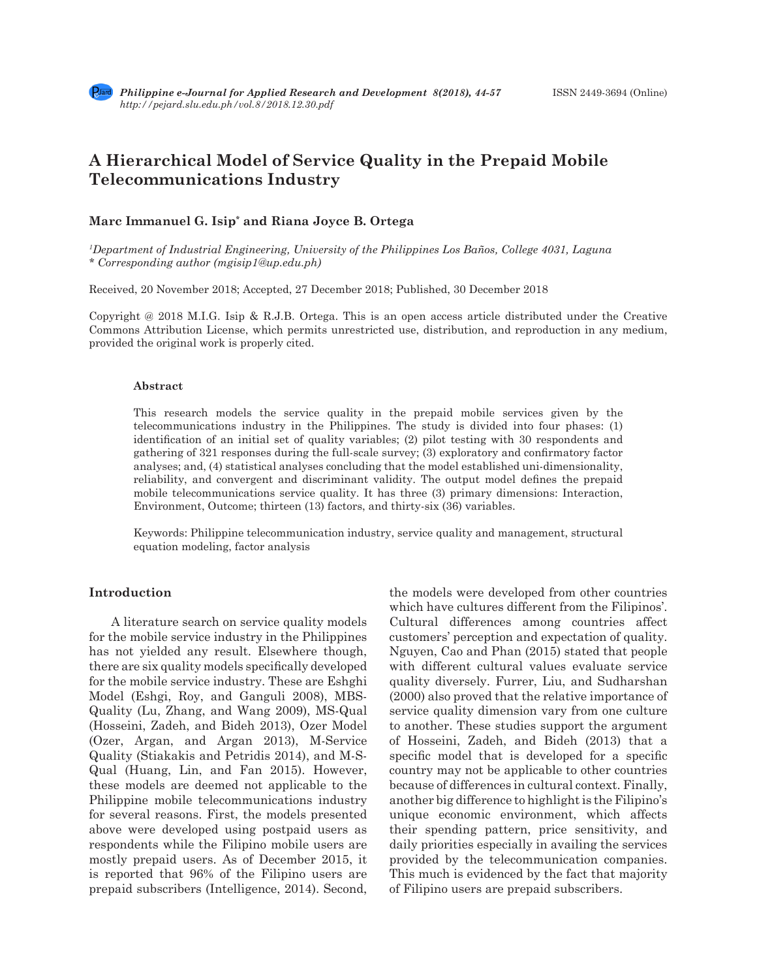# **A Hierarchical Model of Service Quality in the Prepaid Mobile Telecommunications Industry**

# **Marc Immanuel G. Isip\* and Riana Joyce B. Ortega**

*1 Department of Industrial Engineering, University of the Philippines Los Baños, College 4031, Laguna \* Corresponding author (mgisip1@up.edu.ph)*

Received, 20 November 2018; Accepted, 27 December 2018; Published, 30 December 2018

Copyright @ 2018 M.I.G. Isip & R.J.B. Ortega. This is an open access article distributed under the Creative Commons Attribution License, which permits unrestricted use, distribution, and reproduction in any medium, provided the original work is properly cited.

## **Abstract**

This research models the service quality in the prepaid mobile services given by the telecommunications industry in the Philippines. The study is divided into four phases: (1) identification of an initial set of quality variables; (2) pilot testing with 30 respondents and gathering of 321 responses during the full-scale survey; (3) exploratory and confirmatory factor analyses; and, (4) statistical analyses concluding that the model established uni-dimensionality, reliability, and convergent and discriminant validity. The output model defines the prepaid mobile telecommunications service quality. It has three (3) primary dimensions: Interaction, Environment, Outcome; thirteen (13) factors, and thirty-six (36) variables.

Keywords: Philippine telecommunication industry, service quality and management, structural equation modeling, factor analysis

# **Introduction**

A literature search on service quality models for the mobile service industry in the Philippines has not yielded any result. Elsewhere though, there are six quality models specifically developed for the mobile service industry. These are Eshghi Model (Eshgi, Roy, and Ganguli 2008), MBS-Quality (Lu, Zhang, and Wang 2009), MS-Qual (Hosseini, Zadeh, and Bideh 2013), Ozer Model (Ozer, Argan, and Argan 2013), M-Service Quality (Stiakakis and Petridis 2014), and M-S-Qual (Huang, Lin, and Fan 2015). However, these models are deemed not applicable to the Philippine mobile telecommunications industry for several reasons. First, the models presented above were developed using postpaid users as respondents while the Filipino mobile users are mostly prepaid users. As of December 2015, it is reported that 96% of the Filipino users are prepaid subscribers (Intelligence, 2014). Second, the models were developed from other countries which have cultures different from the Filipinos'. Cultural differences among countries affect customers' perception and expectation of quality. Nguyen, Cao and Phan (2015) stated that people with different cultural values evaluate service quality diversely. Furrer, Liu, and Sudharshan (2000) also proved that the relative importance of service quality dimension vary from one culture to another. These studies support the argument of Hosseini, Zadeh, and Bideh (2013) that a specific model that is developed for a specific country may not be applicable to other countries because of differences in cultural context. Finally, another big difference to highlight is the Filipino's unique economic environment, which affects their spending pattern, price sensitivity, and daily priorities especially in availing the services provided by the telecommunication companies. This much is evidenced by the fact that majority of Filipino users are prepaid subscribers.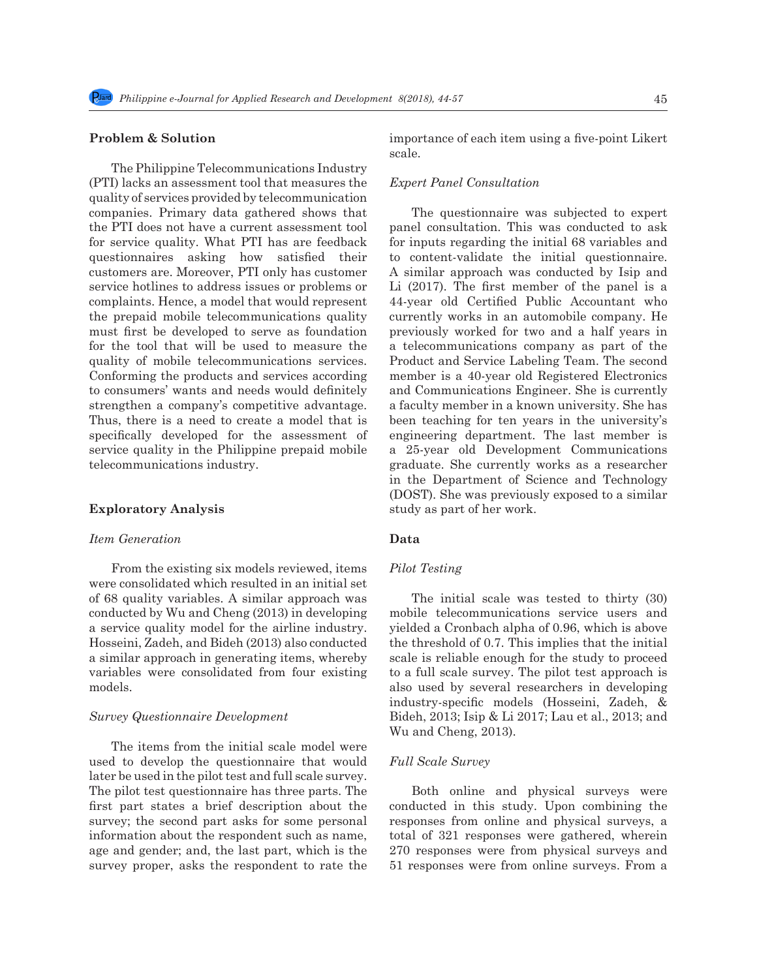### **Problem & Solution**

The Philippine Telecommunications Industry (PTI) lacks an assessment tool that measures the quality of services provided by telecommunication companies. Primary data gathered shows that the PTI does not have a current assessment tool for service quality. What PTI has are feedback questionnaires asking how satisfied their customers are. Moreover, PTI only has customer service hotlines to address issues or problems or complaints. Hence, a model that would represent the prepaid mobile telecommunications quality must first be developed to serve as foundation for the tool that will be used to measure the quality of mobile telecommunications services. Conforming the products and services according to consumers' wants and needs would definitely strengthen a company's competitive advantage. Thus, there is a need to create a model that is specifically developed for the assessment of service quality in the Philippine prepaid mobile telecommunications industry.

### **Exploratory Analysis**

### *Item Generation*

From the existing six models reviewed, items were consolidated which resulted in an initial set of 68 quality variables. A similar approach was conducted by Wu and Cheng (2013) in developing a service quality model for the airline industry. Hosseini, Zadeh, and Bideh (2013) also conducted a similar approach in generating items, whereby variables were consolidated from four existing models.

#### *Survey Questionnaire Development*

The items from the initial scale model were used to develop the questionnaire that would later be used in the pilot test and full scale survey. The pilot test questionnaire has three parts. The first part states a brief description about the survey; the second part asks for some personal information about the respondent such as name, age and gender; and, the last part, which is the survey proper, asks the respondent to rate the importance of each item using a five-point Likert scale.

## *Expert Panel Consultation*

The questionnaire was subjected to expert panel consultation. This was conducted to ask for inputs regarding the initial 68 variables and to content-validate the initial questionnaire. A similar approach was conducted by Isip and Li (2017). The first member of the panel is a 44-year old Certified Public Accountant who currently works in an automobile company. He previously worked for two and a half years in a telecommunications company as part of the Product and Service Labeling Team. The second member is a 40-year old Registered Electronics and Communications Engineer. She is currently a faculty member in a known university. She has been teaching for ten years in the university's engineering department. The last member is a 25-year old Development Communications graduate. She currently works as a researcher in the Department of Science and Technology (DOST). She was previously exposed to a similar study as part of her work.

### **Data**

### *Pilot Testing*

The initial scale was tested to thirty (30) mobile telecommunications service users and yielded a Cronbach alpha of 0.96, which is above the threshold of 0.7. This implies that the initial scale is reliable enough for the study to proceed to a full scale survey. The pilot test approach is also used by several researchers in developing industry-specific models (Hosseini, Zadeh, & Bideh, 2013; Isip & Li 2017; Lau et al., 2013; and Wu and Cheng, 2013).

### *Full Scale Survey*

Both online and physical surveys were conducted in this study. Upon combining the responses from online and physical surveys, a total of 321 responses were gathered, wherein 270 responses were from physical surveys and 51 responses were from online surveys. From a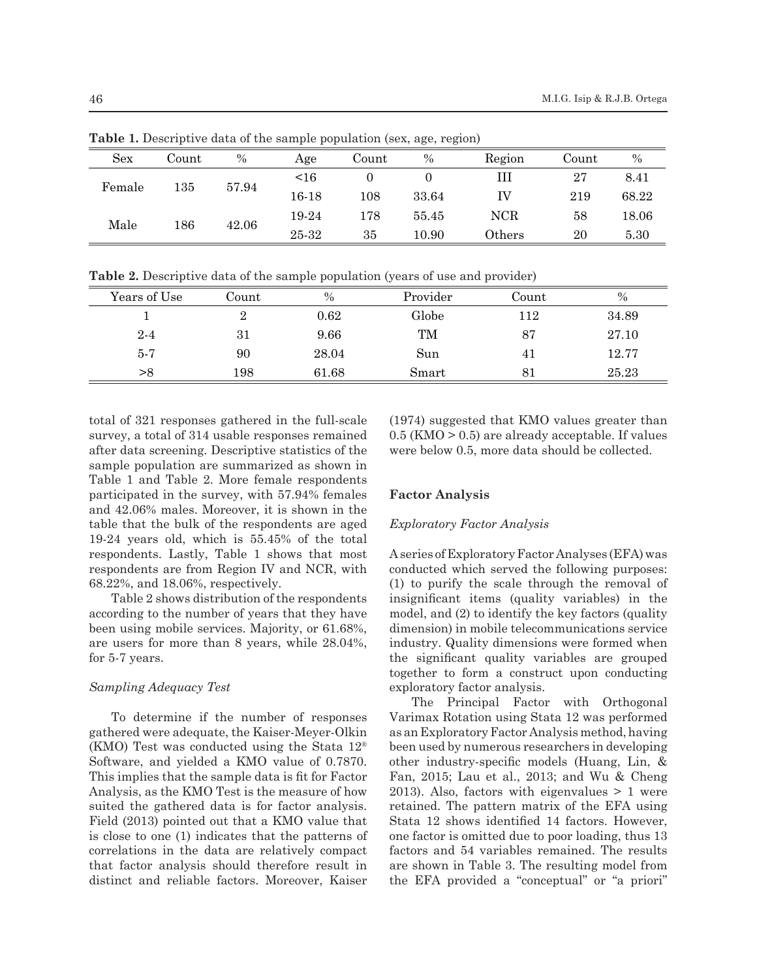| <b>Sex</b>        | Count | $\%$  | Age   | Count   | $\%$  | Region        | Count | $\%$  |
|-------------------|-------|-------|-------|---------|-------|---------------|-------|-------|
| $135\,$<br>Female |       | 57.94 | <16   |         |       | Ш             | 27    | 8.41  |
|                   |       |       | 16-18 | $108\,$ | 33.64 | ΙV            | 219   | 68.22 |
| Male              | 186   |       | 19-24 | 178     | 55.45 | NCR           | 58    | 18.06 |
|                   |       | 42.06 | 25-32 | 35      | 10.90 | $\rm{Others}$ | 20    | 5.30  |

**Table 1.** Descriptive data of the sample population (sex, age, region)

**Table 2.** Descriptive data of the sample population (years of use and provider)

| Years of Use | Count | $\%$  | Provider | Count | $\%$  |
|--------------|-------|-------|----------|-------|-------|
|              | 2     | 0.62  | Globe    | 112   | 34.89 |
| $2 - 4$      | 31    | 9.66  | TM       | 87    | 27.10 |
| $5 - 7$      | 90    | 28.04 | Sun      | 41    | 12.77 |
| >8           | 198   | 61.68 | Smart    | 81    | 25.23 |

total of 321 responses gathered in the full-scale survey, a total of 314 usable responses remained after data screening. Descriptive statistics of the sample population are summarized as shown in Table 1 and Table 2. More female respondents participated in the survey, with 57.94% females and 42.06% males. Moreover, it is shown in the table that the bulk of the respondents are aged 19-24 years old, which is 55.45% of the total respondents. Lastly, Table 1 shows that most respondents are from Region IV and NCR, with 68.22%, and 18.06%, respectively.

Table 2 shows distribution of the respondents according to the number of years that they have been using mobile services. Majority, or 61.68%, are users for more than 8 years, while 28.04%, for 5-7 years.

## *Sampling Adequacy Test*

To determine if the number of responses gathered were adequate, the Kaiser-Meyer-Olkin (KMO) Test was conducted using the Stata 12® Software, and yielded a KMO value of 0.7870. This implies that the sample data is fit for Factor Analysis, as the KMO Test is the measure of how suited the gathered data is for factor analysis. Field (2013) pointed out that a KMO value that is close to one (1) indicates that the patterns of correlations in the data are relatively compact that factor analysis should therefore result in distinct and reliable factors. Moreover, Kaiser (1974) suggested that KMO values greater than 0.5 (KMO > 0.5) are already acceptable. If values were below 0.5, more data should be collected.

## **Factor Analysis**

### *Exploratory Factor Analysis*

A series of Exploratory Factor Analyses (EFA) was conducted which served the following purposes: (1) to purify the scale through the removal of insignificant items (quality variables) in the model, and (2) to identify the key factors (quality dimension) in mobile telecommunications service industry. Quality dimensions were formed when the significant quality variables are grouped together to form a construct upon conducting exploratory factor analysis.

The Principal Factor with Orthogonal Varimax Rotation using Stata 12 was performed as an Exploratory Factor Analysis method, having been used by numerous researchers in developing other industry-specific models (Huang, Lin, & Fan, 2015; Lau et al., 2013; and Wu & Cheng 2013). Also, factors with eigenvalues  $> 1$  were retained. The pattern matrix of the EFA using Stata 12 shows identified 14 factors. However, one factor is omitted due to poor loading, thus 13 factors and 54 variables remained. The results are shown in Table 3. The resulting model from the EFA provided a "conceptual" or "a priori"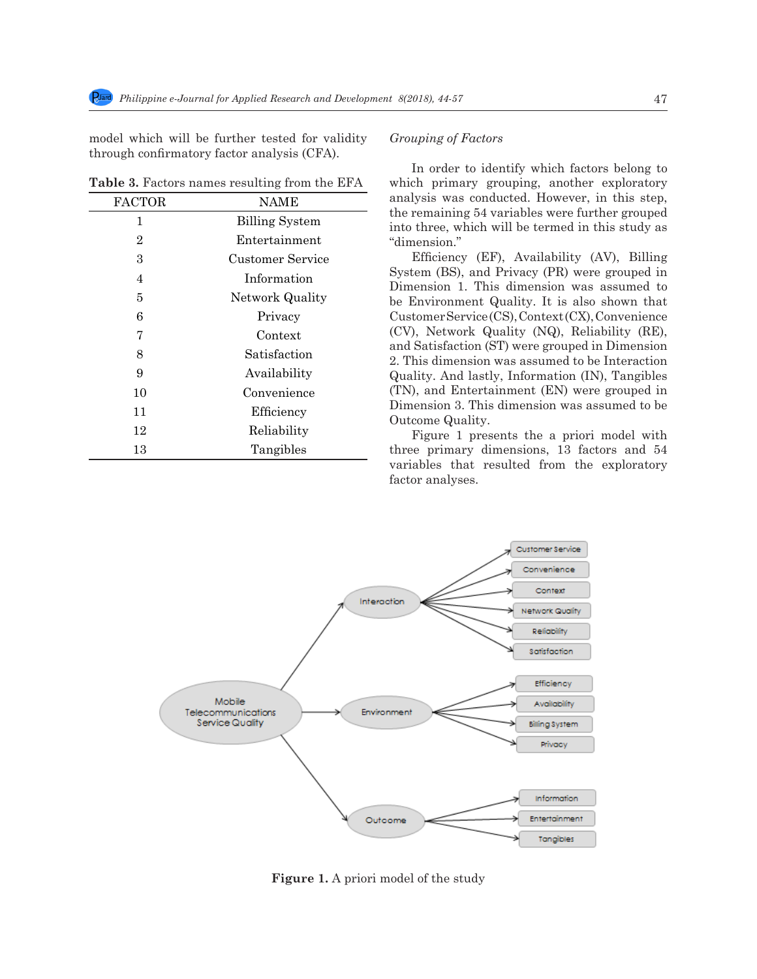model which will be further tested for validity through confirmatory factor analysis (CFA).

**Table 3.** Factors names resulting from the EFA

| <b>FACTOR</b>  | NAME                  |
|----------------|-----------------------|
| 1              | <b>Billing System</b> |
| $\overline{2}$ | Entertainment         |
| 3              | Customer Service      |
| 4              | Information           |
| 5              | Network Quality       |
| 6              | Privacy               |
| 7              | Context               |
| 8              | Satisfaction          |
| 9              | Availability          |
| 10             | Convenience           |
| 11             | Efficiency            |
| 12             | Reliability           |
| 13             | Tangibles             |
|                |                       |

## *Grouping of Factors*

In order to identify which factors belong to which primary grouping, another exploratory analysis was conducted. However, in this step, the remaining 54 variables were further grouped into three, which will be termed in this study as "dimension."

Efficiency (EF), Availability (AV), Billing System (BS), and Privacy (PR) were grouped in Dimension 1. This dimension was assumed to be Environment Quality. It is also shown that Customer Service (CS), Context (CX), Convenience (CV), Network Quality (NQ), Reliability (RE), and Satisfaction (ST) were grouped in Dimension 2. This dimension was assumed to be Interaction Quality. And lastly, Information (IN), Tangibles (TN), and Entertainment (EN) were grouped in Dimension 3. This dimension was assumed to be Outcome Quality.

Figure 1 presents the a priori model with three primary dimensions, 13 factors and 54 variables that resulted from the exploratory factor analyses.



**Figure 1.** A priori model of the study

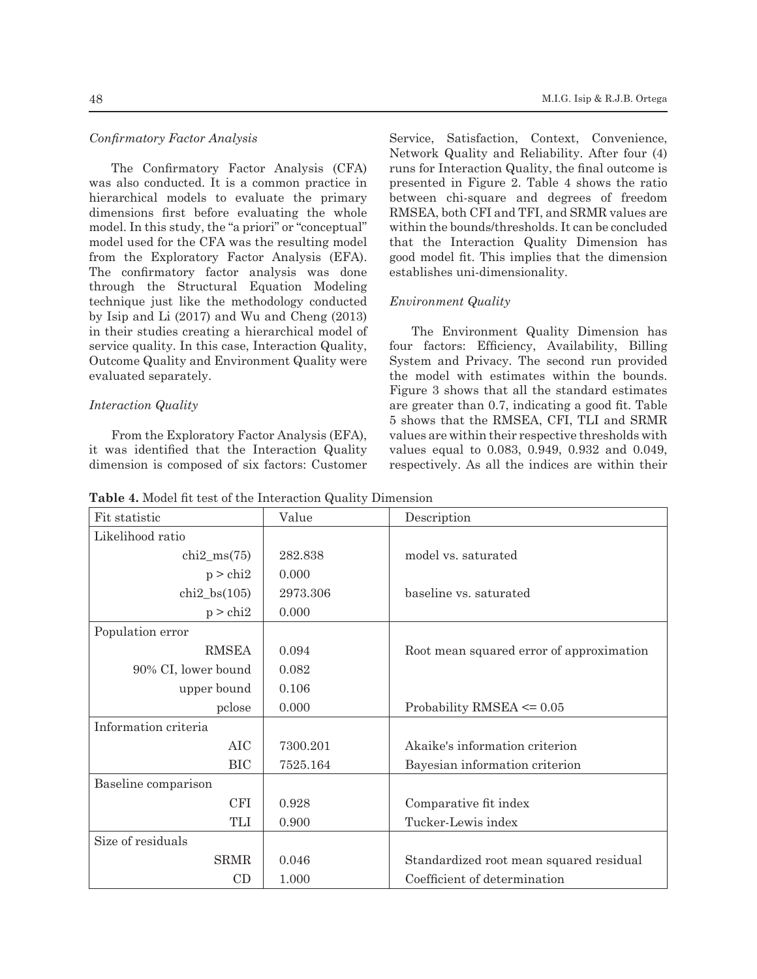# *Confirmatory Factor Analysis*

The Confirmatory Factor Analysis (CFA) was also conducted. It is a common practice in hierarchical models to evaluate the primary dimensions first before evaluating the whole model. In this study, the "a priori" or "conceptual" model used for the CFA was the resulting model from the Exploratory Factor Analysis (EFA). The confirmatory factor analysis was done through the Structural Equation Modeling technique just like the methodology conducted by Isip and Li (2017) and Wu and Cheng (2013) in their studies creating a hierarchical model of service quality. In this case, Interaction Quality, Outcome Quality and Environment Quality were evaluated separately.

### *Interaction Quality*

From the Exploratory Factor Analysis (EFA), it was identified that the Interaction Quality dimension is composed of six factors: Customer Service, Satisfaction, Context, Convenience, Network Quality and Reliability. After four (4) runs for Interaction Quality, the final outcome is presented in Figure 2. Table 4 shows the ratio between chi-square and degrees of freedom RMSEA, both CFI and TFI, and SRMR values are within the bounds/thresholds. It can be concluded that the Interaction Quality Dimension has good model fit. This implies that the dimension establishes uni-dimensionality.

### *Environment Quality*

The Environment Quality Dimension has four factors: Efficiency, Availability, Billing System and Privacy. The second run provided the model with estimates within the bounds. Figure 3 shows that all the standard estimates are greater than 0.7, indicating a good fit. Table 5 shows that the RMSEA, CFI, TLI and SRMR values are within their respective thresholds with values equal to 0.083, 0.949, 0.932 and 0.049, respectively. As all the indices are within their

**Table 4.** Model fit test of the Interaction Quality Dimension

| Fit statistic        | Value    | Description                              |
|----------------------|----------|------------------------------------------|
| Likelihood ratio     |          |                                          |
| $chi2_{ms}(75)$      | 282.838  | model vs. saturated                      |
| $p >$ chi2           | 0.000    |                                          |
| $chi2_{bs}(105)$     | 2973.306 | baseline vs. saturated                   |
| $p > \text{chi2}$    | 0.000    |                                          |
| Population error     |          |                                          |
| <b>RMSEA</b>         | 0.094    | Root mean squared error of approximation |
| 90% CI, lower bound  | 0.082    |                                          |
| upper bound          | 0.106    |                                          |
| pclose               | 0.000    | Probability RMSEA $\leq 0.05$            |
| Information criteria |          |                                          |
| <b>AIC</b>           | 7300.201 | Akaike's information criterion           |
| <b>BIC</b>           | 7525.164 | Bayesian information criterion           |
| Baseline comparison  |          |                                          |
| CFI                  | 0.928    | Comparative fit index                    |
| <b>TLI</b>           | 0.900    | Tucker-Lewis index                       |
| Size of residuals    |          |                                          |
| <b>SRMR</b>          | 0.046    | Standardized root mean squared residual  |
| CD                   | 1.000    | Coefficient of determination             |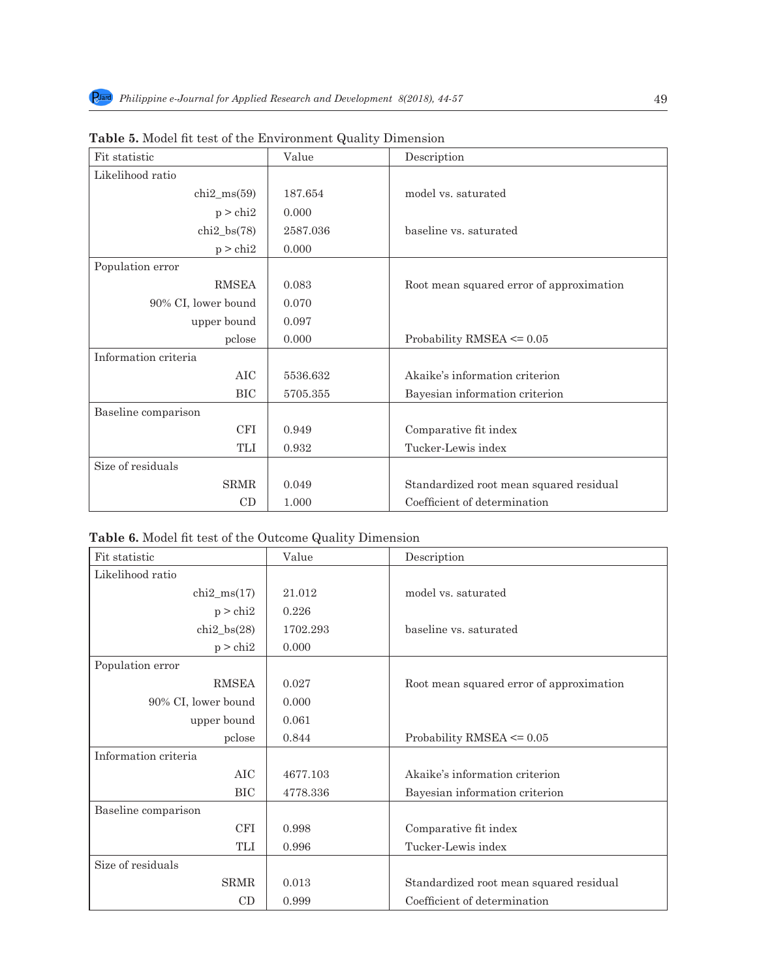| Fit statistic        | Value    | Description                              |
|----------------------|----------|------------------------------------------|
| Likelihood ratio     |          |                                          |
| $chi2_{ms}(59)$      | 187.654  | model vs. saturated                      |
| $p >$ chi2           | 0.000    |                                          |
| $chi2_{bs}(78)$      | 2587.036 | baseline vs. saturated                   |
| $p >$ chi2           | 0.000    |                                          |
| Population error     |          |                                          |
| <b>RMSEA</b>         | 0.083    | Root mean squared error of approximation |
| 90% CI, lower bound  | 0.070    |                                          |
| upper bound          | 0.097    |                                          |
| pclose               | 0.000    | Probability RMSEA $\leq 0.05$            |
| Information criteria |          |                                          |
| AIC                  | 5536.632 | Akaike's information criterion           |
| <b>BIC</b>           | 5705.355 | Bayesian information criterion           |
| Baseline comparison  |          |                                          |
| CFI                  | 0.949    | Comparative fit index                    |
| <b>TLI</b>           | 0.932    | Tucker-Lewis index                       |
| Size of residuals    |          |                                          |
| <b>SRMR</b>          | 0.049    | Standardized root mean squared residual  |
| CD                   | 1.000    | Coefficient of determination             |

**Table 5.** Model fit test of the Environment Quality Dimension

|  |  |  |  |  |  | Table 6. Model fit test of the Outcome Quality Dimension |
|--|--|--|--|--|--|----------------------------------------------------------|
|--|--|--|--|--|--|----------------------------------------------------------|

| Fit statistic        | Value    | Description                              |
|----------------------|----------|------------------------------------------|
| Likelihood ratio     |          |                                          |
| $chi2_{ms(17)}$      | 21.012   | model vs. saturated                      |
| $p >$ chi2           | 0.226    |                                          |
| $chi2_b$ s $(28)$    | 1702.293 | baseline vs. saturated                   |
| $p >$ chi2           | 0.000    |                                          |
| Population error     |          |                                          |
| <b>RMSEA</b>         | 0.027    | Root mean squared error of approximation |
| 90% CI, lower bound  | 0.000    |                                          |
| upper bound          | 0.061    |                                          |
| pclose               | 0.844    | Probability RMSEA $\leq 0.05$            |
| Information criteria |          |                                          |
| AIC                  | 4677.103 | Akaike's information criterion           |
| <b>BIC</b>           | 4778.336 | Bayesian information criterion           |
| Baseline comparison  |          |                                          |
| <b>CFI</b>           | 0.998    | Comparative fit index                    |
| TLI                  | 0.996    | Tucker-Lewis index                       |
| Size of residuals    |          |                                          |
| <b>SRMR</b>          | 0.013    | Standardized root mean squared residual  |
| CD                   | 0.999    | Coefficient of determination             |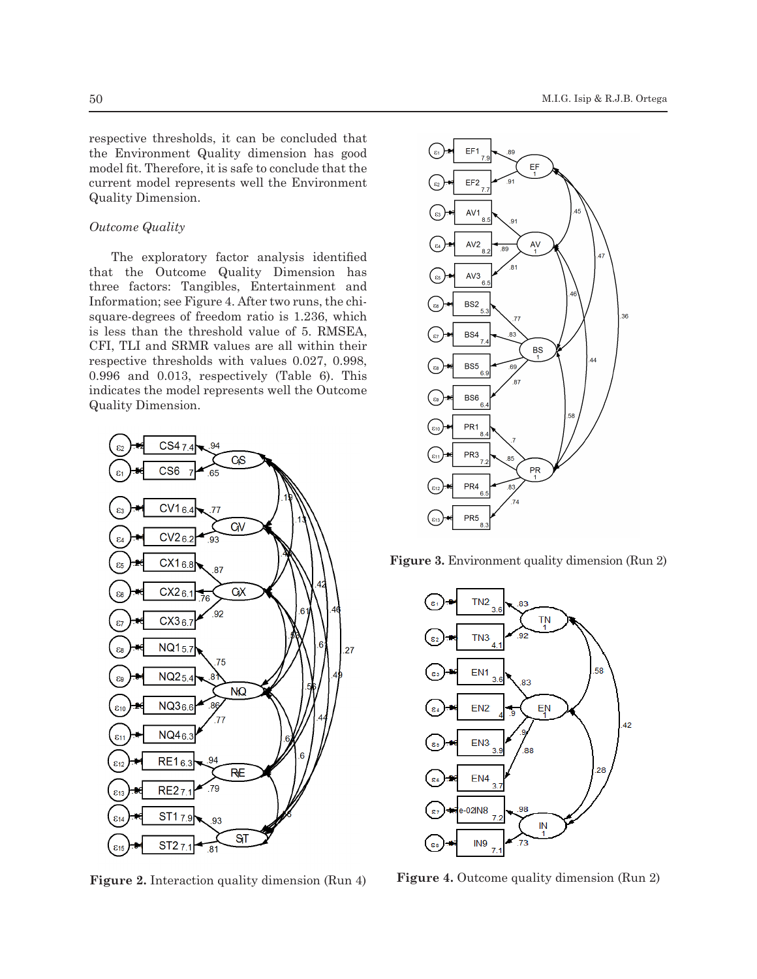respective thresholds, it can be concluded that the Environment Quality dimension has good model fit. Therefore, it is safe to conclude that the current model represents well the Environment Quality Dimension.

# *Outcome Quality*

The exploratory factor analysis identified that the Outcome Quality Dimension has three factors: Tangibles, Entertainment and Information; see Figure 4. After two runs, the chisquare-degrees of freedom ratio is 1.236, which is less than the threshold value of 5. RMSEA, CFI, TLI and SRMR values are all within their respective thresholds with values 0.027, 0.998, 0.996 and 0.013, respectively (Table 6). This indicates the model represents well the Outcome Quality Dimension.



**Figure 2.** Interaction quality dimension (Run 4)



**Figure 3.** Environment quality dimension (Run 2)



**Figure 4.** Outcome quality dimension (Run 2)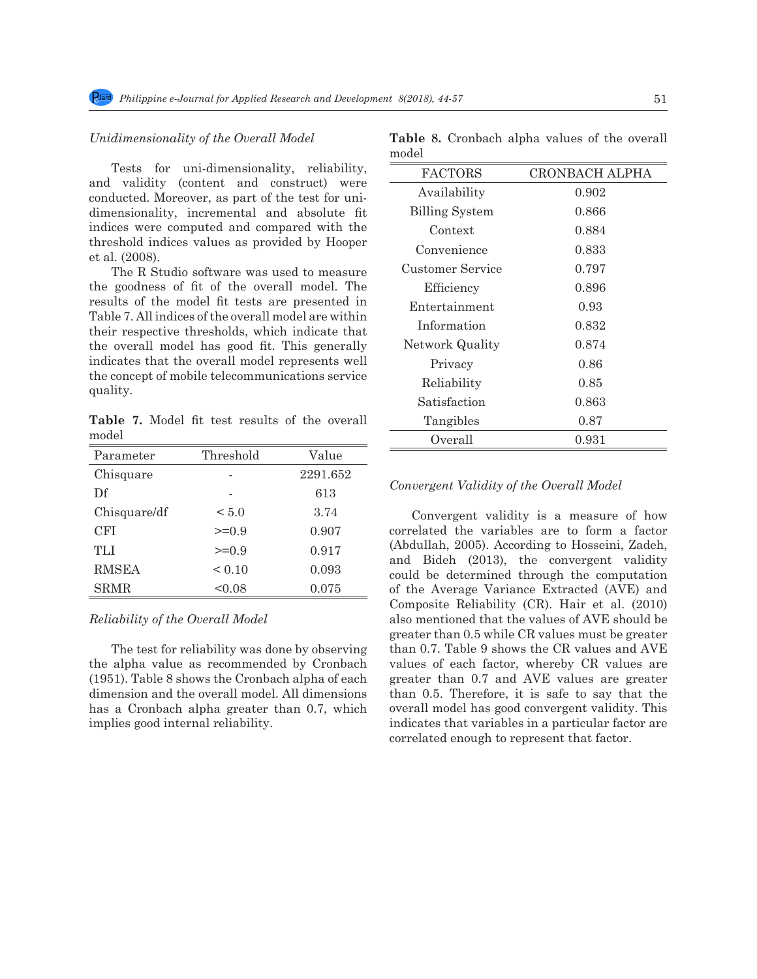$\overline{a}$ 

### *Unidimensionality of the Overall Model*

Tests for uni-dimensionality, reliability, and validity (content and construct) were conducted. Moreover, as part of the test for unidimensionality, incremental and absolute fit indices were computed and compared with the threshold indices values as provided by Hooper et al. (2008).

The R Studio software was used to measure the goodness of fit of the overall model. The results of the model fit tests are presented in Table 7. All indices of the overall model are within their respective thresholds, which indicate that the overall model has good fit. This generally indicates that the overall model represents well the concept of mobile telecommunications service quality.

**Table 7.** Model fit test results of the overall model

| Parameter    | Threshold | Value    |
|--------------|-----------|----------|
| Chisquare    |           | 2291.652 |
| Df           |           | 613      |
| Chisquare/df | < 5.0     | 3.74     |
| CFI          | $>=0.9$   | 0.907    |
| TLI          | $>=0.9$   | 0.917    |
| <b>RMSEA</b> | < 0.10    | 0.093    |
| SRMR         | < 0.08    | 0.075    |

### *Reliability of the Overall Model*

The test for reliability was done by observing the alpha value as recommended by Cronbach (1951). Table 8 shows the Cronbach alpha of each dimension and the overall model. All dimensions has a Cronbach alpha greater than 0.7, which implies good internal reliability.

| nodel                 |                       |
|-----------------------|-----------------------|
| <b>FACTORS</b>        | <b>CRONBACH ALPHA</b> |
| Availability          | 0.902                 |
| <b>Billing System</b> | 0.866                 |
| Context               | 0.884                 |
| Convenience           | 0.833                 |
| Customer Service      | 0.797                 |
| Efficiency            | 0.896                 |
| Entertainment         | 0.93                  |
| Information           | 0.832                 |
| Network Quality       | 0.874                 |
| Privacy               | 0.86                  |
| Reliability           | $0.85\,$              |
| Satisfaction          | 0.863                 |
| Tangibles             | 0.87                  |
| Overall               | 0.931                 |

**Table 8.** Cronbach alpha values of the overall model

#### *Convergent Validity of the Overall Model*

Convergent validity is a measure of how correlated the variables are to form a factor (Abdullah, 2005). According to Hosseini, Zadeh, and Bideh (2013), the convergent validity could be determined through the computation of the Average Variance Extracted (AVE) and Composite Reliability (CR). Hair et al. (2010) also mentioned that the values of AVE should be greater than 0.5 while CR values must be greater than 0.7. Table 9 shows the CR values and AVE values of each factor, whereby CR values are greater than 0.7 and AVE values are greater than 0.5. Therefore, it is safe to say that the overall model has good convergent validity. This indicates that variables in a particular factor are correlated enough to represent that factor.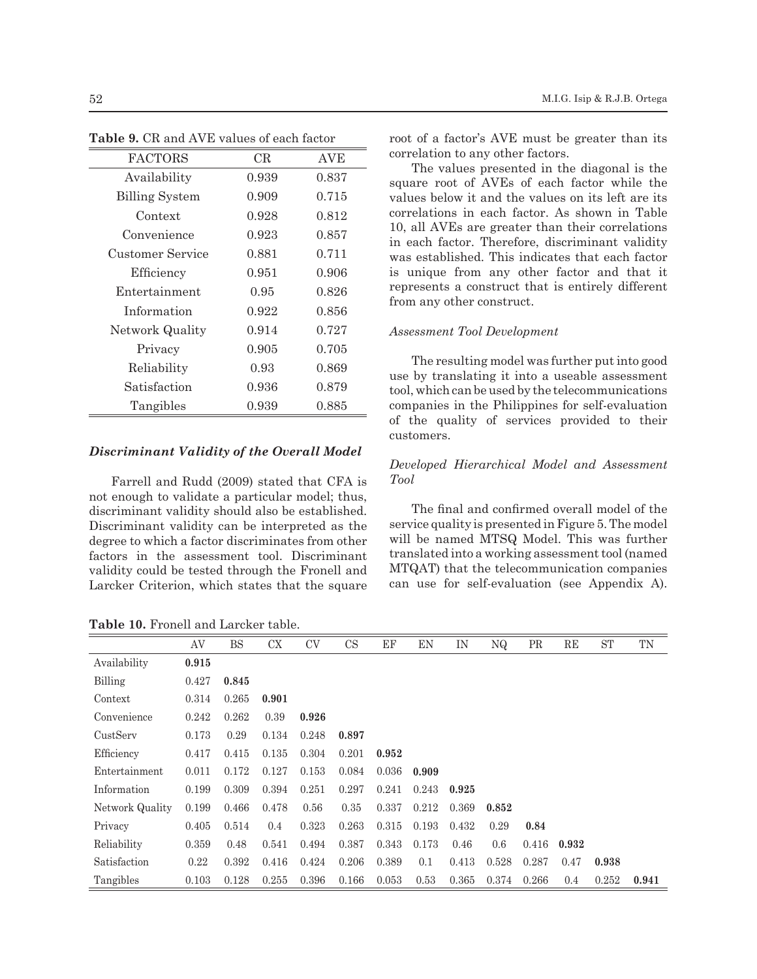| <b>FACTORS</b>        | CR    | AVE   |
|-----------------------|-------|-------|
| Availability          | 0.939 | 0.837 |
| <b>Billing System</b> | 0.909 | 0.715 |
| Context               | 0.928 | 0.812 |
| Convenience           | 0.923 | 0.857 |
| Customer Service      | 0.881 | 0.711 |
| Efficiency            | 0.951 | 0.906 |
| Entertainment         | 0.95  | 0.826 |
| Information           | 0.922 | 0.856 |
| Network Quality       | 0.914 | 0.727 |
| Privacy               | 0.905 | 0.705 |
| Reliability           | 0.93  | 0.869 |
| Satisfaction          | 0.936 | 0.879 |
| Tangibles             | 0.939 | 0.885 |

**Table 9.** CR and AVE values of each factor

### *Discriminant Validity of the Overall Model*

Farrell and Rudd (2009) stated that CFA is not enough to validate a particular model; thus, discriminant validity should also be established. Discriminant validity can be interpreted as the degree to which a factor discriminates from other factors in the assessment tool. Discriminant validity could be tested through the Fronell and Larcker Criterion, which states that the square

**Table 10.** Fronell and Larcker table.

root of a factor's AVE must be greater than its correlation to any other factors.

The values presented in the diagonal is the square root of AVEs of each factor while the values below it and the values on its left are its correlations in each factor. As shown in Table 10, all AVEs are greater than their correlations in each factor. Therefore, discriminant validity was established. This indicates that each factor is unique from any other factor and that it represents a construct that is entirely different from any other construct.

#### *Assessment Tool Development*

The resulting model was further put into good use by translating it into a useable assessment tool, which can be used by the telecommunications companies in the Philippines for self-evaluation of the quality of services provided to their customers.

# *Developed Hierarchical Model and Assessment Tool*

The final and confirmed overall model of the service quality is presented in Figure 5. The model will be named MTSQ Model. This was further translated into a working assessment tool (named MTQAT) that the telecommunication companies can use for self-evaluation (see Appendix A).

|                 | AV    | <b>BS</b> | CX    | <b>CV</b> | <b>CS</b> | EF    | EN    | IN    | NQ    | <b>PR</b> | RE    | <b>ST</b> | TN    |
|-----------------|-------|-----------|-------|-----------|-----------|-------|-------|-------|-------|-----------|-------|-----------|-------|
| Availability    | 0.915 |           |       |           |           |       |       |       |       |           |       |           |       |
| Billing         | 0.427 | 0.845     |       |           |           |       |       |       |       |           |       |           |       |
| Context         | 0.314 | 0.265     | 0.901 |           |           |       |       |       |       |           |       |           |       |
| Convenience     | 0.242 | 0.262     | 0.39  | 0.926     |           |       |       |       |       |           |       |           |       |
| CustServ        | 0.173 | 0.29      | 0.134 | 0.248     | 0.897     |       |       |       |       |           |       |           |       |
| Efficiency      | 0.417 | 0.415     | 0.135 | 0.304     | 0.201     | 0.952 |       |       |       |           |       |           |       |
| Entertainment   | 0.011 | 0.172     | 0.127 | 0.153     | 0.084     | 0.036 | 0.909 |       |       |           |       |           |       |
| Information     | 0.199 | 0.309     | 0.394 | 0.251     | 0.297     | 0.241 | 0.243 | 0.925 |       |           |       |           |       |
| Network Quality | 0.199 | 0.466     | 0.478 | 0.56      | 0.35      | 0.337 | 0.212 | 0.369 | 0.852 |           |       |           |       |
| Privacy         | 0.405 | 0.514     | 0.4   | 0.323     | 0.263     | 0.315 | 0.193 | 0.432 | 0.29  | 0.84      |       |           |       |
| Reliability     | 0.359 | 0.48      | 0.541 | 0.494     | 0.387     | 0.343 | 0.173 | 0.46  | 0.6   | 0.416     | 0.932 |           |       |
| Satisfaction    | 0.22  | 0.392     | 0.416 | 0.424     | 0.206     | 0.389 | 0.1   | 0.413 | 0.528 | 0.287     | 0.47  | 0.938     |       |
| Tangibles       | 0.103 | 0.128     | 0.255 | 0.396     | 0.166     | 0.053 | 0.53  | 0.365 | 0.374 | 0.266     | 0.4   | 0.252     | 0.941 |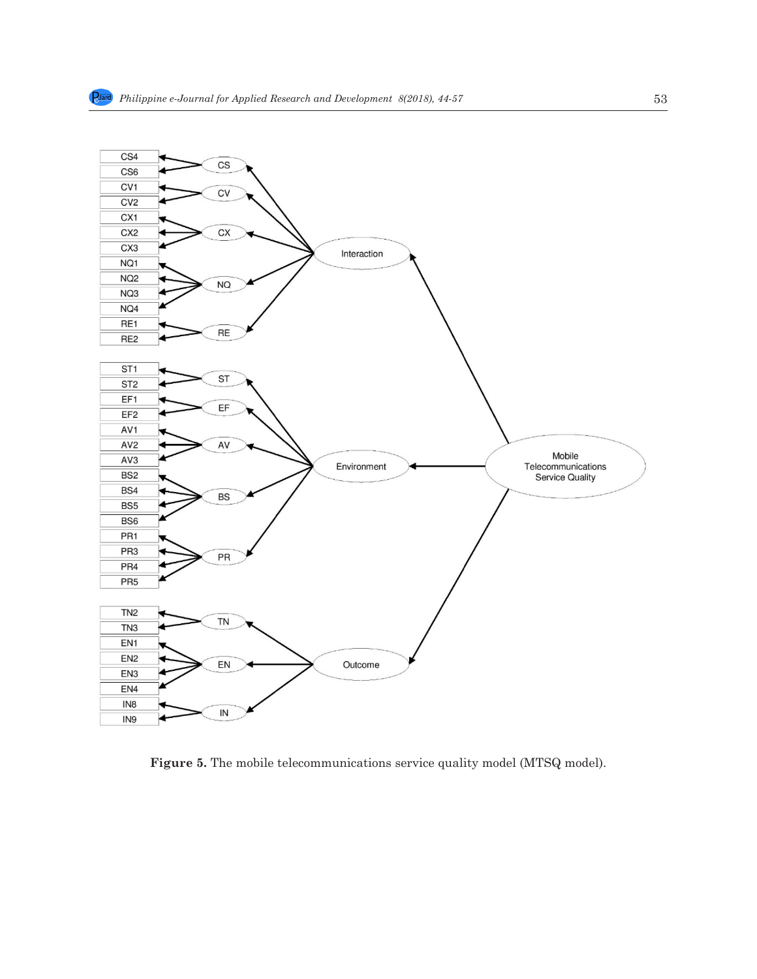

**Figure 5.** The mobile telecommunications service quality model (MTSQ model).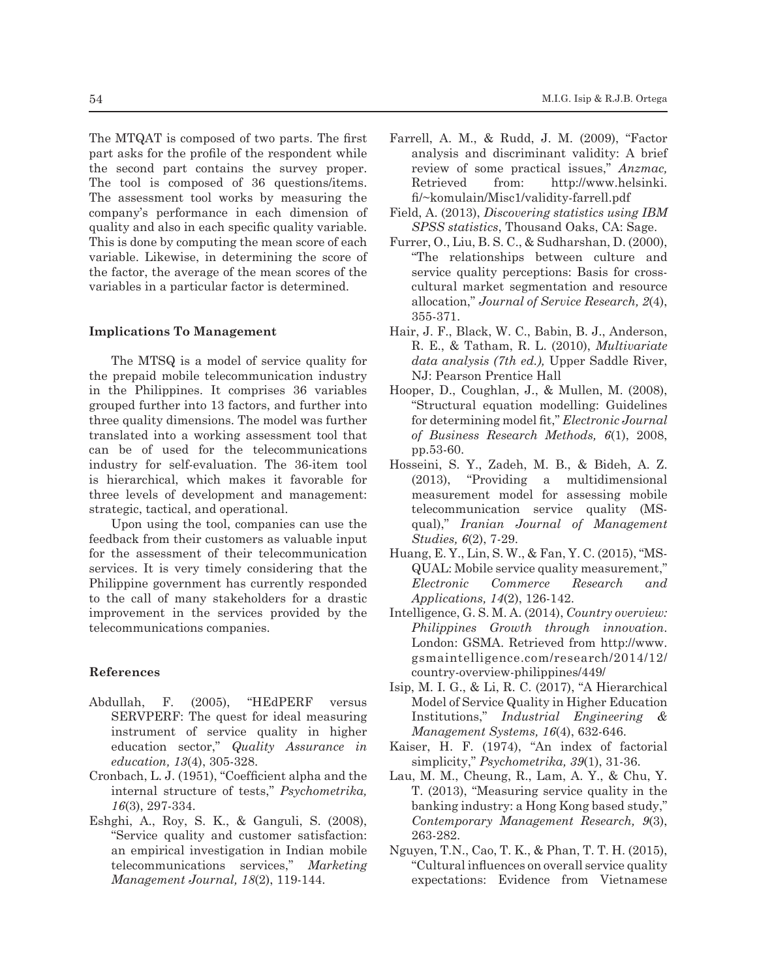The MTQAT is composed of two parts. The first part asks for the profile of the respondent while the second part contains the survey proper. The tool is composed of 36 questions/items. The assessment tool works by measuring the company's performance in each dimension of quality and also in each specific quality variable. This is done by computing the mean score of each variable. Likewise, in determining the score of the factor, the average of the mean scores of the variables in a particular factor is determined.

### **Implications To Management**

The MTSQ is a model of service quality for the prepaid mobile telecommunication industry in the Philippines. It comprises 36 variables grouped further into 13 factors, and further into three quality dimensions. The model was further translated into a working assessment tool that can be of used for the telecommunications industry for self-evaluation. The 36-item tool is hierarchical, which makes it favorable for three levels of development and management: strategic, tactical, and operational.

Upon using the tool, companies can use the feedback from their customers as valuable input for the assessment of their telecommunication services. It is very timely considering that the Philippine government has currently responded to the call of many stakeholders for a drastic improvement in the services provided by the telecommunications companies.

### **References**

- Abdullah, F. (2005), "HEdPERF versus SERVPERF: The quest for ideal measuring instrument of service quality in higher education sector," *Quality Assurance in education, 13*(4), 305-328.
- Cronbach, L. J. (1951), "Coefficient alpha and the internal structure of tests," *Psychometrika, 16*(3), 297-334.
- Eshghi, A., Roy, S. K., & Ganguli, S. (2008), "Service quality and customer satisfaction: an empirical investigation in Indian mobile telecommunications services," *Marketing Management Journal, 18*(2), 119-144.
- Farrell, A. M., & Rudd, J. M. (2009), "Factor analysis and discriminant validity: A brief review of some practical issues," *Anzmac,* Retrieved from: http://www.helsinki. fi/~komulain/Misc1/validity-farrell.pdf
- Field, A. (2013), *Discovering statistics using IBM SPSS statistics*, Thousand Oaks, CA: Sage.
- Furrer, O., Liu, B. S. C., & Sudharshan, D. (2000), "The relationships between culture and service quality perceptions: Basis for crosscultural market segmentation and resource allocation," *Journal of Service Research, 2*(4), 355-371.
- Hair, J. F., Black, W. C., Babin, B. J., Anderson, R. E., & Tatham, R. L. (2010), *Multivariate data analysis (7th ed.),* Upper Saddle River, NJ: Pearson Prentice Hall
- Hooper, D., Coughlan, J., & Mullen, M. (2008), "Structural equation modelling: Guidelines for determining model fit," *Electronic Journal of Business Research Methods, 6*(1), 2008, pp.53-60.
- Hosseini, S. Y., Zadeh, M. B., & Bideh, A. Z. (2013), "Providing a multidimensional measurement model for assessing mobile telecommunication service quality (MSqual)," *Iranian Journal of Management Studies, 6*(2), 7-29.
- Huang, E. Y., Lin, S. W., & Fan, Y. C. (2015), "MS-QUAL: Mobile service quality measurement," *Electronic Commerce Research and Applications, 14*(2), 126-142.
- Intelligence, G. S. M. A. (2014), *Country overview: Philippines Growth through innovation*. London: GSMA. Retrieved from http://www. gsmaintelligence.com/research/2014/12/ country-overview-philippines/449/
- Isip, M. I. G., & Li, R. C. (2017), "A Hierarchical Model of Service Quality in Higher Education Institutions," *Industrial Engineering & Management Systems, 16*(4), 632-646.
- Kaiser, H. F. (1974), "An index of factorial simplicity," *Psychometrika, 39*(1), 31-36.
- Lau, M. M., Cheung, R., Lam, A. Y., & Chu, Y. T. (2013), "Measuring service quality in the banking industry: a Hong Kong based study," *Contemporary Management Research, 9*(3), 263-282.
- Nguyen, T.N., Cao, T. K., & Phan, T. T. H. (2015), "Cultural influences on overall service quality expectations: Evidence from Vietnamese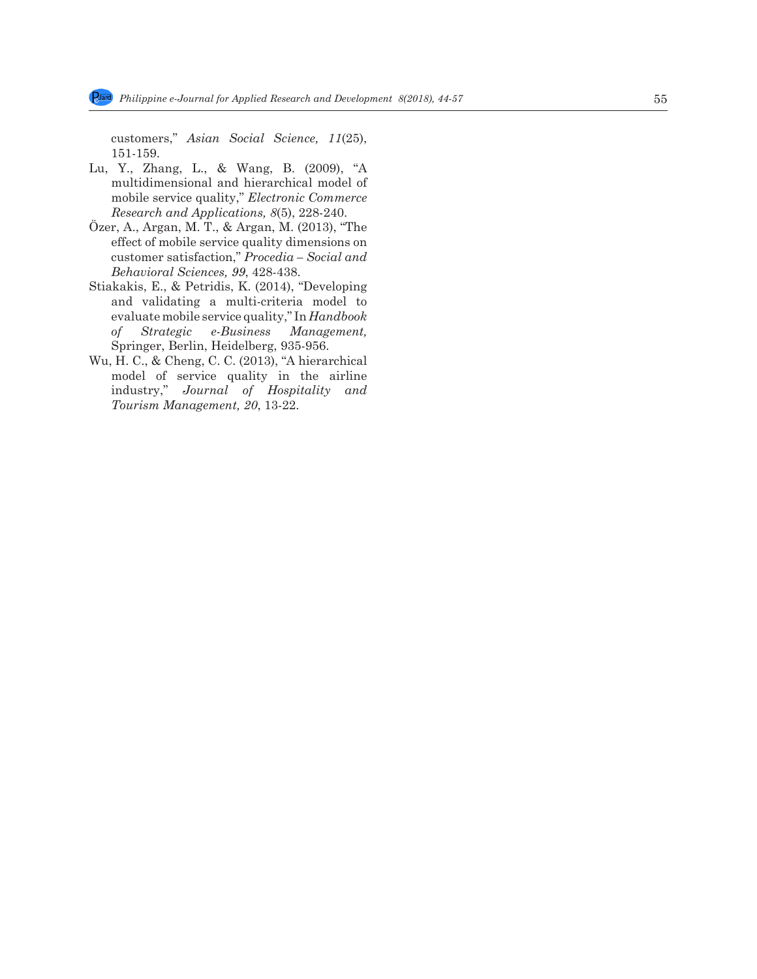customers," *Asian Social Science, 11*(25), 151-159.

- Lu, Y., Zhang, L., & Wang, B. (2009), "A multidimensional and hierarchical model of mobile service quality," *Electronic Commerce Research and Applications, 8*(5), 228-240.
- Özer, A., Argan, M. T., & Argan, M. (2013), "The effect of mobile service quality dimensions on customer satisfaction," *Procedia – Social and Behavioral Sciences, 99*, 428-438.
- Stiakakis, E., & Petridis, K. (2014), "Developing and validating a multi-criteria model to evaluate mobile service quality," In *Handbook of Strategic e-Business Management,* Springer, Berlin, Heidelberg, 935-956.
- Wu, H. C., & Cheng, C. C. (2013), "A hierarchical model of service quality in the airline industry," *Journal of Hospitality and Tourism Management, 20*, 13-22.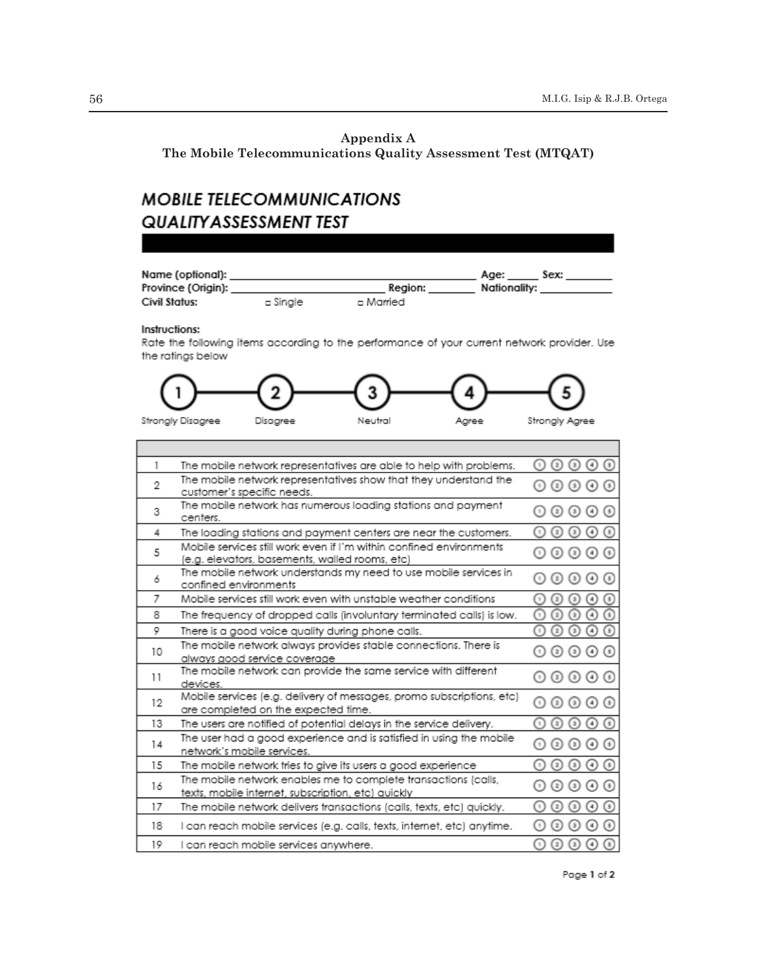# **Appendix A**

**The Mobile Telecommunications Quality Assessment Test (MTQAT)**

# **MOBILE TELECOMMUNICATIONS QUALITY ASSESSMENT TEST**



Instructions:

n

Rate the following items according to the performance of your current network provider. Use the ratings below



| 1  | The mobile network representatives are able to help with problems.                                                    | $\left( \frac{1}{2} \right)$<br>$\left( \frac{1}{2}\right)$<br>$(3)$<br>$\left( 4\right)$<br>$^{\left( \, \text{1}\,\right) }$   |
|----|-----------------------------------------------------------------------------------------------------------------------|----------------------------------------------------------------------------------------------------------------------------------|
| 2  | The mobile network representatives show that they understand the<br>customer's specific needs.                        | $\circ$<br>$\circ$<br>$\left( \frac{1}{2} \right)$<br>(s)                                                                        |
| 3  | The mobile network has numerous loading stations and payment<br>centers.                                              | $\left( \mathbf{s}\right)$<br>$(3)$<br>(4)<br>$\left( z\right)$                                                                  |
| 4  | The loading stations and payment centers are near the customers.                                                      | $\left( 5\right)$<br>$\mathbf{B}$<br>$\blacksquare$<br>ž,                                                                        |
| 5  | Mobile services still work even if I'm within confined environments<br>(e.g. elevators, basements, walled rooms, etc) | $\circledcirc$<br>$\circled{z}$<br>$\left( \mathbf{s}\right)$                                                                    |
| 6  | The mobile network understands my need to use mobile services in<br>confined environments                             | $\left( \begin{matrix} 4 \end{matrix} \right)$<br>$\left( \frac{1}{2} \right)$<br>$^{\rm (s)}$<br>$\left( \frac{\pi}{2} \right)$ |
| 7  | Mobile services still work even with unstable weather conditions                                                      | $\left(5\right)$<br>$\blacksquare$<br>$\mathbf{z}$<br>$\mathbf{B}$<br>$\left( \bullet \right)$                                   |
| 8  | The frequency of dropped calls (involuntary terminated calls) is low.                                                 | จ<br>⊙<br>∩<br>$\left( 4\right)$<br>$\left( \frac{1}{2} \right)$                                                                 |
| 9  | There is a good voice quality during phone calls.                                                                     | $\odot$<br>⊙<br>$\circled{4}$<br>$\left( \mathbf{r}\right)$<br>$\left( \frac{1}{2} \right)$                                      |
| 10 | The mobile network always provides stable connections. There is<br>always good service coverage                       | $(3)$<br>$\left( \mathbf{s}\right)$<br>$(4)$<br>$(\Box)$<br>$_{(2)}$                                                             |
| 11 | The mobile network can provide the same service with different<br>devices.                                            | $3$<br>$\circ$<br>$(\mathbf{s})$<br>$\left( 2\right)$                                                                            |
| 12 | Mobile services (e.g. delivery of messages, promo subscriptions, etc)<br>are completed on the expected time.          | $_{(2)}$<br>$^{\rm (s)}$<br>$(4)$<br>$\left( s\right)$<br>〔1〕                                                                    |
| 13 | The users are notified of potential delays in the service delivery.                                                   | $\left( \mathbf{s}\right)$<br>(4)<br>3<br>2                                                                                      |
| 14 | The user had a good experience and is satisfied in using the mobile<br>network's mobile services.                     | $\left( \mathbf{s}\right)$<br>$^{\rm (s)}$<br>$\left( 4\right)$<br>$\left( 2\right)$<br>$\Box$                                   |
| 15 | The mobile network tries to give its users a good experience                                                          | $\left( 5\right)$<br>$\left( 4\right)$<br>3<br>$\ddot{z}$                                                                        |
| 16 | The mobile network enables me to complete transactions (calls,<br>texts, mobile internet, subscription, etc) quickly  | $\left( 5\right)$<br>$\left( 4\right)$<br>3                                                                                      |
| 17 | The mobile network delivers transactions (calls, texts, etc) quickly.                                                 | 9<br>$\left( 4\right)$<br>3<br>$\blacksquare$<br>ž,                                                                              |
| 18 | l can reach mobile services (e.g. calls, texts, internet, etc) anytime.                                               | $\left(5\right)$<br>$^{(3)}$<br>$\left( 4\right)$<br>$\sqrt{ }$<br>$\bar{z}$                                                     |
| 19 | I can reach mobile services anywhere.                                                                                 | $\left[5\right]$<br>$^{3}$<br>Œ<br>$\begin{array}{c} \end{array}$<br>$\ddot{z}$                                                  |